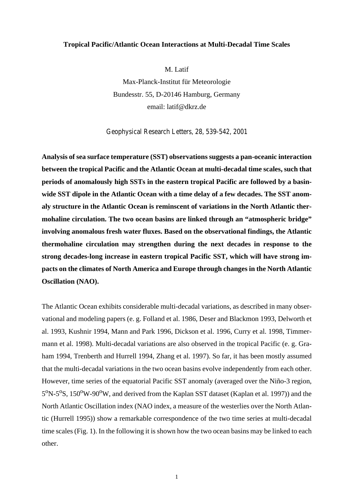## **Tropical Pacific/Atlantic Ocean Interactions at Multi-Decadal Time Scales**

M. Latif

Max-Planck-Institut für Meteorologie Bundesstr. 55, D-20146 Hamburg, Germany email: latif@dkrz.de

Geophysical Research Letters, 28, 539-542, 2001

**Analysis of sea surface temperature (SST) observations suggests a pan-oceanic interaction between the tropical Pacific and the Atlantic Ocean at multi-decadal time scales, such that periods of anomalously high SSTs in the eastern tropical Pacific are followed by a basinwide SST dipole in the Atlantic Ocean with a time delay of a few decades. The SST anomaly structure in the Atlantic Ocean is reminscent of variations in the North Atlantic thermohaline circulation. The two ocean basins are linked through an "atmospheric bridge" involving anomalous fresh water fluxes. Based on the observational findings, the Atlantic thermohaline circulation may strengthen during the next decades in response to the strong decades-long increase in eastern tropical Pacific SST, which will have strong impacts on the climates of North America and Europe through changes in the North Atlantic Oscillation (NAO).**

The Atlantic Ocean exhibits considerable multi-decadal variations, as described in many observational and modeling papers (e. g. Folland et al. 1986, Deser and Blackmon 1993, Delworth et al. 1993, Kushnir 1994, Mann and Park 1996, Dickson et al. 1996, Curry et al. 1998, Timmermann et al. 1998). Multi-decadal variations are also observed in the tropical Pacific (e. g. Graham 1994, Trenberth and Hurrell 1994, Zhang et al. 1997). So far, it has been mostly assumed that the multi-decadal variations in the two ocean basins evolve independently from each other. However, time series of the equatorial Pacific SST anomaly (averaged over the Niño-3 region, 5<sup>o</sup>N-5<sup>o</sup>S, 150<sup>o</sup>W-90<sup>o</sup>W, and derived from the Kaplan SST dataset (Kaplan et al. 1997)) and the North Atlantic Oscillation index (NAO index, a measure of the westerlies over the North Atlantic (Hurrell 1995)) show a remarkable correspondence of the two time series at multi-decadal time scales (Fig. 1). In the following it is shown how the two ocean basins may be linked to each other.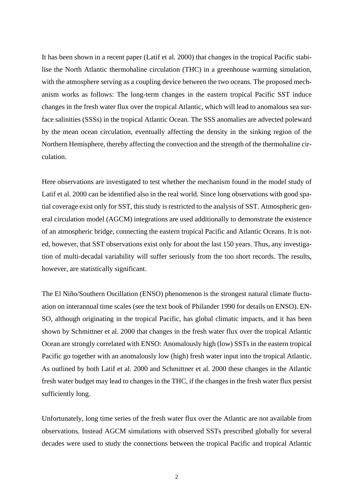It has been shown in a recent paper (Latif et al. 2000) that changes in the tropical Pacific stabilise the North Atlantic thermohaline circulation (THC) in a greenhouse warming simulation, with the atmosphere serving as a coupling device between the two oceans. The proposed mechanism works as follows: The long-term changes in the eastern tropical Pacific SST induce changes in the fresh water flux over the tropical Atlantic, which will lead to anomalous sea surface salinities (SSSs) in the tropical Atlantic Ocean. The SSS anomalies are advected poleward by the mean ocean circulation, eventually affecting the density in the sinking region of the Northern Hemisphere, thereby affecting the convection and the strength of the thermohaline circulation.

Here observations are investigated to test whether the mechanism found in the model study of Latif et al. 2000 can be identified also in the real world. Since long observations with good spatial coverage exist only for SST, this study is restricted to the analysis of SST. Atmospheric general circulation model (AGCM) integrations are used additionally to demonstrate the existence of an atmospheric bridge, connecting the eastern tropical Pacific and Atlantic Oceans. It is noted, however, that SST observations exist only for about the last 150 years. Thus, any investigation of multi-decadal variability will suffer seriously from the too short records. The results, however, are statistically significant.

The El Niño/Southern Oscillation (ENSO) phenomenon is the strongest natural climate fluctuation on interannual time scales (see the text book of Philander 1990 for details on ENSO). EN-SO, although originating in the tropical Pacific, has global climatic impacts, and it has been shown by Schmittner et al. 2000 that changes in the fresh water flux over the tropical Atlantic Ocean are strongly correlated with ENSO: Anomalously high (low) SSTs in the eastern tropical Pacific go together with an anomalously low (high) fresh water input into the tropical Atlantic. As outlined by both Latif et al. 2000 and Schmittner et al. 2000 these changes in the Atlantic fresh water budget may lead to changes in the THC, if the changes in the fresh water flux persist sufficiently long.

Unfortunately, long time series of the fresh water flux over the Atlantic are not available from observations. Instead AGCM simulations with observed SSTs prescribed globally for several decades were used to study the connections between the tropical Pacific and tropical Atlantic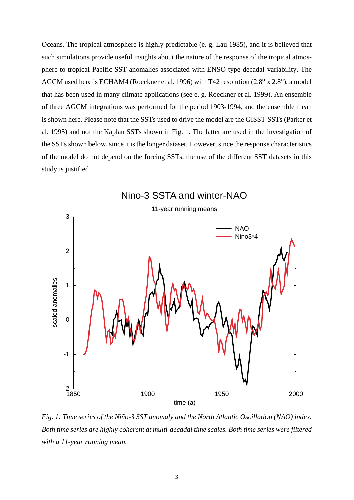Oceans. The tropical atmosphere is highly predictable (e. g. Lau 1985), and it is believed that such simulations provide useful insights about the nature of the response of the tropical atmosphere to tropical Pacific SST anomalies associated with ENSO-type decadal variability. The AGCM used here is ECHAM4 (Roeckner et al. 1996) with T42 resolution  $(2.8^{\circ} \times 2.8^{\circ})$ , a model that has been used in many climate applications (see e. g. Roeckner et al. 1999). An ensemble of three AGCM integrations was performed for the period 1903-1994, and the ensemble mean is shown here. Please note that the SSTs used to drive the model are the GISST SSTs (Parker et al. 1995) and not the Kaplan SSTs shown in Fig. 1. The latter are used in the investigation of the SSTs shown below, since it is the longer dataset. However, since the response characteristics of the model do not depend on the forcing SSTs, the use of the different SST datasets in this study is justified.



*Fig. 1: Time series of the Niño-3 SST anomaly and the North Atlantic Oscillation (NAO) index. Both time series are highly coherent at multi-decadal time scales. Both time series were filtered with a 11-year running mean.*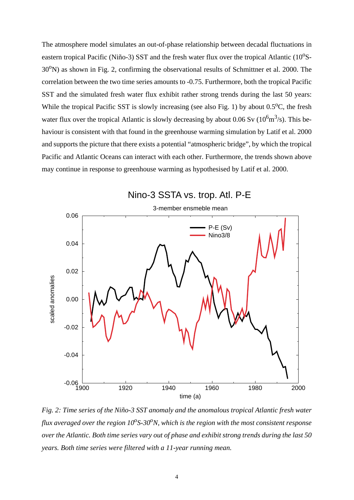The atmosphere model simulates an out-of-phase relationship between decadal fluctuations in eastern tropical Pacific (Niño-3) SST and the fresh water flux over the tropical Atlantic  $(10^{\circ}S 30^{\circ}$ N) as shown in Fig. 2, confirming the observational results of Schmittner et al. 2000. The correlation between the two time series amounts to -0.75. Furthermore, both the tropical Pacific SST and the simulated fresh water flux exhibit rather strong trends during the last 50 years: While the tropical Pacific SST is slowly increasing (see also Fig. 1) by about  $0.5^{\circ}$ C, the fresh water flux over the tropical Atlantic is slowly decreasing by about 0.06 Sv  $(10^6 \text{m}^3/\text{s})$ . This behaviour is consistent with that found in the greenhouse warming simulation by Latif et al. 2000 and supports the picture that there exists a potential "atmospheric bridge", by which the tropical Pacific and Atlantic Oceans can interact with each other. Furthermore, the trends shown above may continue in response to greenhouse warming as hypothesised by Latif et al. 2000.



*Fig. 2: Time series of the Niño-3 SST anomaly and the anomalous tropical Atlantic fresh water flux averaged over the region*  $10^{\circ}$ *S-30<sup>o</sup>N, which is the region with the most consistent response over the Atlantic. Both time series vary out of phase and exhibit strong trends during the last 50 years. Both time series were filtered with a 11-year running mean.*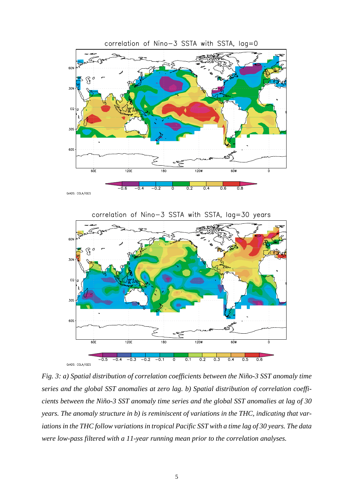

*Fig. 3: a) Spatial distribution of correlation coefficients between the Niño-3 SST anomaly time series and the global SST anomalies at zero lag. b) Spatial distribution of correlation coefficients between the Niño-3 SST anomaly time series and the global SST anomalies at lag of 30 years. The anomaly structure in b) is reminiscent of variations in the THC, indicating that variations in the THC follow variations in tropical Pacific SST with a time lag of 30 years. The data were low-pass filtered with a 11-year running mean prior to the correlation analyses.*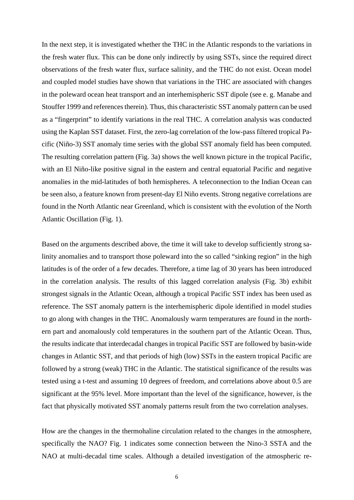In the next step, it is investigated whether the THC in the Atlantic responds to the variations in the fresh water flux. This can be done only indirectly by using SSTs, since the required direct observations of the fresh water flux, surface salinity, and the THC do not exist. Ocean model and coupled model studies have shown that variations in the THC are associated with changes in the poleward ocean heat transport and an interhemispheric SST dipole (see e. g. Manabe and Stouffer 1999 and references therein). Thus, this characteristic SST anomaly pattern can be used as a "fingerprint" to identify variations in the real THC. A correlation analysis was conducted using the Kaplan SST dataset. First, the zero-lag correlation of the low-pass filtered tropical Pacific (Niño-3) SST anomaly time series with the global SST anomaly field has been computed. The resulting correlation pattern (Fig. 3a) shows the well known picture in the tropical Pacific, with an El Niño-like positive signal in the eastern and central equatorial Pacific and negative anomalies in the mid-latitudes of both hemispheres. A teleconnection to the Indian Ocean can be seen also, a feature known from present-day El Niño events. Strong negative correlations are found in the North Atlantic near Greenland, which is consistent with the evolution of the North Atlantic Oscillation (Fig. 1).

Based on the arguments described above, the time it will take to develop sufficiently strong salinity anomalies and to transport those poleward into the so called "sinking region" in the high latitudes is of the order of a few decades. Therefore, a time lag of 30 years has been introduced in the correlation analysis. The results of this lagged correlation analysis (Fig. 3b) exhibit strongest signals in the Atlantic Ocean, although a tropical Pacific SST index has been used as reference. The SST anomaly pattern is the interhemispheric dipole identified in model studies to go along with changes in the THC. Anomalously warm temperatures are found in the northern part and anomalously cold temperatures in the southern part of the Atlantic Ocean. Thus, the results indicate that interdecadal changes in tropical Pacific SST are followed by basin-wide changes in Atlantic SST, and that periods of high (low) SSTs in the eastern tropical Pacific are followed by a strong (weak) THC in the Atlantic. The statistical significance of the results was tested using a t-test and assuming 10 degrees of freedom, and correlations above about 0.5 are significant at the 95% level. More important than the level of the significance, however, is the fact that physically motivated SST anomaly patterns result from the two correlation analyses.

How are the changes in the thermohaline circulation related to the changes in the atmosphere, specifically the NAO? Fig. 1 indicates some connection between the Nino-3 SSTA and the NAO at multi-decadal time scales. Although a detailed investigation of the atmospheric re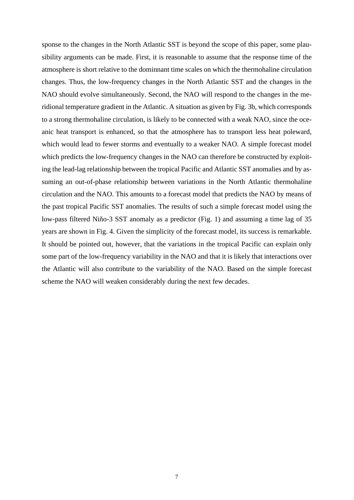sponse to the changes in the North Atlantic SST is beyond the scope of this paper, some plausibility arguments can be made. First, it is reasonable to assume that the response time of the atmosphere is short relative to the dominnant time scales on which the thermohaline circulation changes. Thus, the low-frequency changes in the North Atlantic SST and the changes in the NAO should evolve simultaneously. Second, the NAO will respond to the changes in the meridional temperature gradient in the Atlantic. A situation as given by Fig. 3b, which corresponds to a strong thermohaline circulation, is likely to be connected with a weak NAO, since the oceanic heat transport is enhanced, so that the atmosphere has to transport less heat poleward, which would lead to fewer storms and eventually to a weaker NAO. A simple forecast model which predicts the low-frequency changes in the NAO can therefore be constructed by exploiting the lead-lag relationship between the tropical Pacific and Atlantic SST anomalies and by assuming an out-of-phase relationship between variations in the North Atlantic thermohaline circulation and the NAO. This amounts to a forecast model that predicts the NAO by means of the past tropical Pacific SST anomalies. The results of such a simple forecast model using the low-pass filtered Niño-3 SST anomaly as a predictor (Fig. 1) and assuming a time lag of 35 years are shown in Fig. 4. Given the simplicity of the forecast model, its success is remarkable. It should be pointed out, however, that the variations in the tropical Pacific can explain only some part of the low-frequency variability in the NAO and that it is likely that interactions over the Atlantic will also contribute to the variability of the NAO. Based on the simple forecast scheme the NAO will weaken considerably during the next few decades.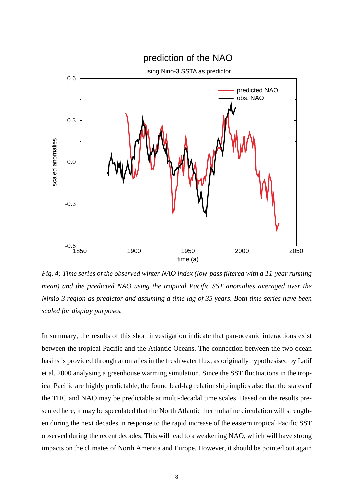

*Fig. 4: Time series of the observed winter NAO index (low-pass filtered with a 11-year running mean) and the predicted NAO using the tropical Pacific SST anomalies averaged over the Ninño-3 region as predictor and assuming a time lag of 35 years. Both time series have been scaled for display purposes.*

In summary, the results of this short investigation indicate that pan-oceanic interactions exist between the tropical Pacific and the Atlantic Oceans. The connection between the two ocean basins is provided through anomalies in the fresh water flux, as originally hypothesised by Latif et al. 2000 analysing a greenhouse warming simulation. Since the SST fluctuations in the tropical Pacific are highly predictable, the found lead-lag relationship implies also that the states of the THC and NAO may be predictable at multi-decadal time scales. Based on the results presented here, it may be speculated that the North Atlantic thermohaline circulation will strengthen during the next decades in response to the rapid increase of the eastern tropical Pacific SST observed during the recent decades. This will lead to a weakening NAO, which will have strong impacts on the climates of North America and Europe. However, it should be pointed out again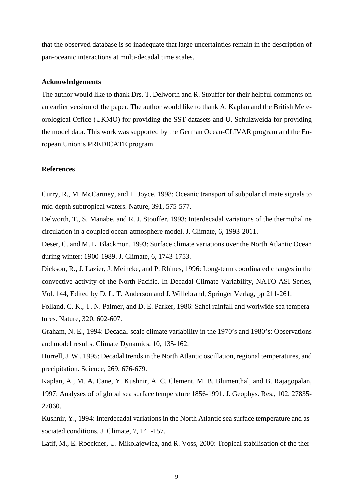that the observed database is so inadequate that large uncertainties remain in the description of pan-oceanic interactions at multi-decadal time scales.

## **Acknowledgements**

The author would like to thank Drs. T. Delworth and R. Stouffer for their helpful comments on an earlier version of the paper. The author would like to thank A. Kaplan and the British Meteorological Office (UKMO) for providing the SST datasets and U. Schulzweida for providing the model data. This work was supported by the German Ocean-CLIVAR program and the European Union's PREDICATE program.

## **References**

Curry, R., M. McCartney, and T. Joyce, 1998: Oceanic transport of subpolar climate signals to mid-depth subtropical waters. Nature, 391, 575-577.

Delworth, T., S. Manabe, and R. J. Stouffer, 1993: Interdecadal variations of the thermohaline circulation in a coupled ocean-atmosphere model. J. Climate, 6, 1993-2011.

Deser, C. and M. L. Blackmon, 1993: Surface climate variations over the North Atlantic Ocean during winter: 1900-1989. J. Climate, 6, 1743-1753.

Dickson, R., J. Lazier, J. Meincke, and P. Rhines, 1996: Long-term coordinated changes in the convective activity of the North Pacific. In Decadal Climate Variability, NATO ASI Series, Vol. 144, Edited by D. L. T. Anderson and J. Willebrand, Springer Verlag, pp 211-261.

Folland, C. K., T. N. Palmer, and D. E. Parker, 1986: Sahel rainfall and worlwide sea temperatures. Nature, 320, 602-607.

Graham, N. E., 1994: Decadal-scale climate variability in the 1970's and 1980's: Observations and model results. Climate Dynamics, 10, 135-162.

Hurrell, J. W., 1995: Decadal trends in the North Atlantic oscillation, regional temperatures, and precipitation. Science, 269, 676-679.

Kaplan, A., M. A. Cane, Y. Kushnir, A. C. Clement, M. B. Blumenthal, and B. Rajagopalan, 1997: Analyses of of global sea surface temperature 1856-1991. J. Geophys. Res., 102, 27835- 27860.

Kushnir, Y., 1994: Interdecadal variations in the North Atlantic sea surface temperature and associated conditions. J. Climate, 7, 141-157.

Latif, M., E. Roeckner, U. Mikolajewicz, and R. Voss, 2000: Tropical stabilisation of the ther-